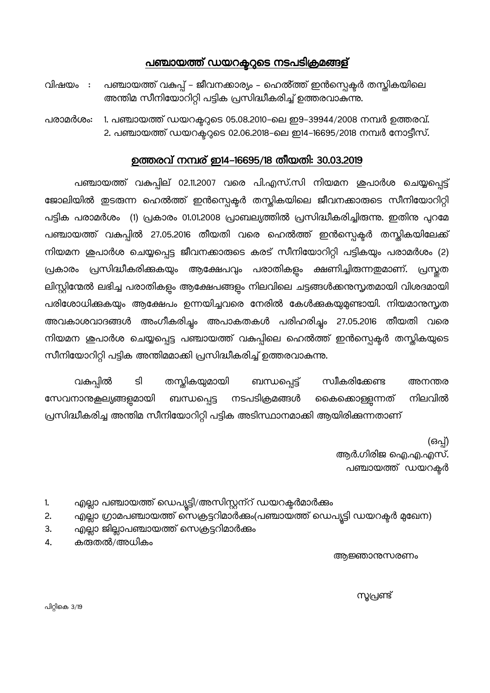## <u>പഞ്ചായത്ത് ഡയറക്ടറുടെ നടപടിക്രമങ്ങള്</u>

- വിഷയം : ഞ്ചായത്ത് വകുപ്പ് – ജീവനക്കാര്യം – ഹെൽ്ത്ത് ഇൻസ്പെക്ടർ തസ്തികയിലെ അന്തിമ സീനിയോറിറ്റി പട്ടിക പ്രസിദ്ധീകരിച്ച് ഉത്തരവാകുന്നു.
- പ<mark>രാമർശം: 1.</mark> പ ഞ്ചായത്ത് ഡയറക്ടറുടെ 05.08.2010–ലെ ഇ9–39944/2008 നമ്പർ ഉത്തരവ്. 2. പഞ്ചായത്ത് ഡയറക്ടറുടെ 02.06.2018–ലെ ഇ14–16695/2018 നമ്പർ നോട്ടീസ്.

## <u>ഉത്തരവ് നമ്പര് ഇ14–16695/18 തീയതി: 3</u>0.03.2019

 -✂ \* 02.11.2007  -.D-.- E-✂&7 FG0 ജോലിയിൽ ഇടരുന്ന ഹെൽത്ത് ഇൻസ്പെക്ടർ തസ്തികയിലെ ജീവനക്കാരുടെ സീനിയോറിറ്റി പട്ടിക പരാമർശം (1) പ്രകാരം 01.01.2008 പ്രാബല്യത്തിൽ പ്രസിദ്ധീകരിച്ചിരുന്നു. ഇതിനു പുറമേ പഞ്ചായത്ത് വകുപ്പിൽ 27.05.2016 തീയതി വരെ ഹെൽത്ത് ഇൻസ്പെക്ടർ തസ്തികയിലേക്ക് നിയമന ശുപാർശ ചെയ്യപ്പെട്ട ജീവനക്കാരുടെ കരട് സീനിയോറിറ്റി പട്ടികയും പരാമർശം (2) പ്രകാരം പ്രസിദ്ധീകരിക്കുകയും ആക്ഷേപവും പരാതികളും ക്ഷണിച്ചിരുന്നതുമാണ്. പ്രസ്തര ലിസ്റ്റിന്മേൽ ലഭിച്ച പരാതികളും ആക്ഷേപങ്ങളും നിലവിലെ ചട്ടങ്ങൾക്കനുസൃതമായി വിശദമായി പരിശോധിക്കുകയും ആക്ഷേപം ഉന്നയിച്ചവരെ നേരിൽ കേൾക്കുകയുമുണ്ടായി. നിയമാനുസൃത അവകാശവാദങ്ങൾ അംഗീകരിച്ചും അപാകതകൾ പരിഹരിച്ചും 27.05.2016 തീയതി വരെ നിയമന ഇപാർശ ചെയ്യപ്പെട്ട പഞ്ചായത്ത് വകുപ്പിലെ ഹെൽത്ത് ഇൻസ്പെക്ടർ തസ്തികയുടെ സീനിയോറിറ്റി പട്ടിക അന്തിമമാക്കി പ്രസിദ്ധീകരിച്ച് ഉത്തരവാകുന്നു.

വകപ്പിൽ ടി തസ്തികയുമായി ബന്ധപ്പെട്ട് സ്വീകരിക്കേണ്ട അനന്തര സേവനാനുകല്യങ്ങള്മായി ബന്ധപ്പെട്ട നടപടിക്രമങ്ങൾ കൈക്കൊള്ളന്നത് നിലവിൽ പ്രസിദ്ധീകരിച്ച അന്തിമ സീനിയോറിറ്റി പട്ടിക അടിസ്ഥാനമാക്കി ആയിരിക്കുന്നതാണ്

(ഒപ്പ്) ആർ.ഗിരിജ ഐ.എ.എസ്.  $\sim$  -100  $\sim$  -100  $\sim$  -100  $\sim$  -100  $\sim$  -100  $\sim$  -100  $\sim$  -100  $\sim$ ഞ്ചായത്ത് ഡയറക്ടർ

- 1. എല്ലാ പഞ്ചായത്ത് ഡെപ്യൂട്ടി/അസിസ്റ്റന്റ് ഡയറക്ടർമാർക്കും
- 2. എല്ലാ ഗ്രാമപഞ്ചായത്ത് സെക്രട്ടറിമാർക്കം(പഞ്ചായത്ത് ഡെപ്യൂട്ടി ഡയറക്ടർ മുഖേന)
- 3. എല്ലാ ജില്ലാപഞ്ചായത്ത് സെക്രട്ടറിമാർക്കം
- 4. കരുതൽ/അധികം

അജ്ഞാനുസരണം

<u>്രാമാര് നിന്നും നിന്നും നിന്നും നിന്നും നിന്നും നിന്നും നിന്നും നിന്നും നിന്നും നിന്നും നിന്നും നിന്നും നിന്ന</u>

പിറ്റികെ 3/19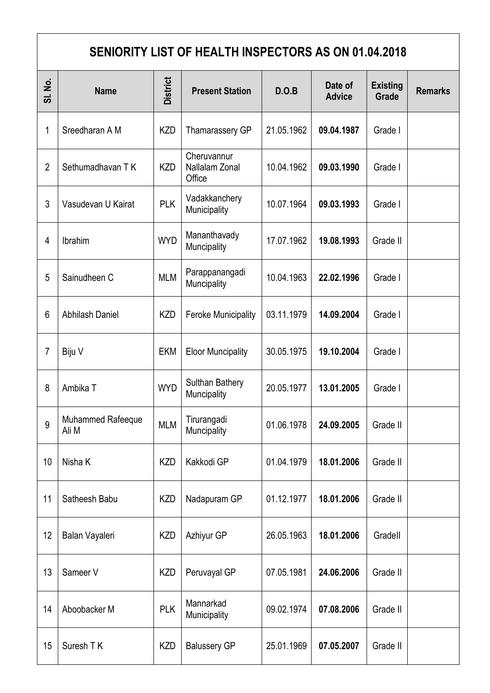## **SENIORITY LIST OF HEALTH INSPECTORS AS ON 01.04.2018**

| .<br>2<br>ಹ    | <b>Name</b>                | <b>District</b> | <b>Present Station</b>                  | D.O.B      | Date of<br><b>Advice</b> | <b>Existing</b><br>Grade | <b>Remarks</b> |
|----------------|----------------------------|-----------------|-----------------------------------------|------------|--------------------------|--------------------------|----------------|
| 1              | Sreedharan A M             | <b>KZD</b>      | Thamarassery GP                         | 21.05.1962 | 09.04.1987               | Grade I                  |                |
| $\overline{2}$ | Sethumadhavan TK           | <b>KZD</b>      | Cheruvannur<br>Nallalam Zonal<br>Office | 10.04.1962 | 09.03.1990               | Grade I                  |                |
| 3              | Vasudevan U Kairat         | <b>PLK</b>      | Vadakkanchery<br>Municipality           | 10.07.1964 | 09.03.1993               | Grade I                  |                |
| 4              | Ibrahim                    | <b>WYD</b>      | Mananthavady<br>Muncipality             | 17.07.1962 | 19.08.1993               | Grade II                 |                |
| 5              | Sainudheen C               | <b>MLM</b>      | Parappanangadi<br>Muncipality           | 10.04.1963 | 22.02.1996               | Grade I                  |                |
| 6              | <b>Abhilash Daniel</b>     | <b>KZD</b>      | <b>Feroke Municipality</b>              | 03.11.1979 | 14.09.2004               | Grade I                  |                |
| $\overline{7}$ | Biju V                     | <b>EKM</b>      | <b>Eloor Muncipality</b>                | 30.05.1975 | 19.10.2004               | Grade I                  |                |
| 8              | Ambika T                   | <b>WYD</b>      | Sulthan Bathery<br>Muncipality          | 20.05.1977 | 13.01.2005               | Grade I                  |                |
| 9              | Muhammed Rafeeque<br>Ali M | <b>MLM</b>      | Tirurangadi<br>Muncipality              | 01.06.1978 | 24.09.2005               | Grade II                 |                |
| 10             | Nisha K                    | KZD             | Kakkodi GP                              | 01.04.1979 | 18.01.2006               | Grade II                 |                |
| 11             | Satheesh Babu              | KZD             | Nadapuram GP                            | 01.12.1977 | 18.01.2006               | Grade II                 |                |
| 12             | Balan Vayaleri             | KZD             | Azhiyur GP                              | 26.05.1963 | 18.01.2006               | Gradell                  |                |
| 13             | Sameer V                   | <b>KZD</b>      | Peruvayal GP                            | 07.05.1981 | 24.06.2006               | Grade II                 |                |
| 14             | Aboobacker M               | <b>PLK</b>      | Mannarkad<br>Municipality               | 09.02.1974 | 07.08.2006               | Grade II                 |                |
| 15             | Suresh TK                  | KZD             | <b>Balussery GP</b>                     | 25.01.1969 | 07.05.2007               | Grade II                 |                |